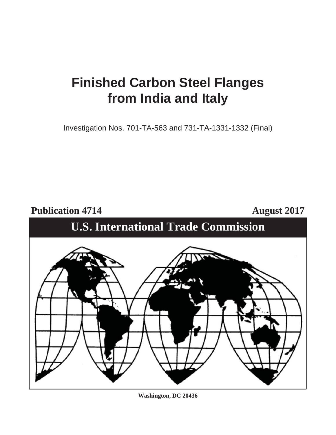## **Finished Carbon Steel Flanges from India and Italy**

Investigation Nos. 701-TA-563 and 731-TA-1331-1332 (Final)

Publication 4714 **August 2017** 





**Washington, DC 20436**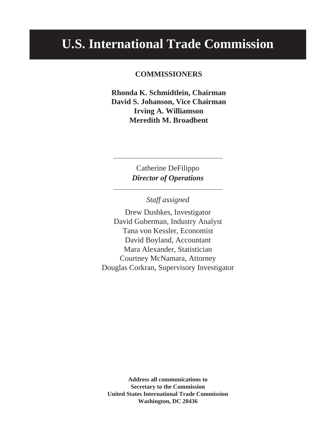## **U.S. International Trade Commission**

#### **COMMISSIONERS**

**Rhonda K. Schmidtlein, Chairman David S. Johanson, Vice Chairman Irving A. Williamson Meredith M. Broadbent** 

> Catherine DeFilippo *Director of Operations*

> > *Staff assigned*

Drew Dushkes, Investigator David Guberman, Industry Analyst Tana von Kessler, Economist David Boyland, Accountant Mara Alexander, Statistician Courtney McNamara, Attorney Douglas Corkran, Supervisory Investigator

**Address all communications to Secretary to the Commission United States International Trade Commission Washington, DC 20436**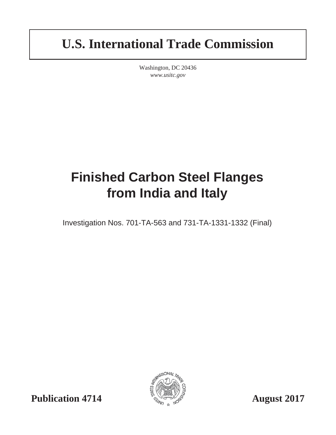## **U.S. International Trade Commission**

Washington, DC 20436 *www.usitc.gov*

# **Finished Carbon Steel Flanges from India and Italy**

Investigation Nos. 701-TA-563 and 731-TA-1331-1332 (Final)



**Publication 4714**  $\frac{1}{2}$   $\frac{1}{2}$   $\frac{1}{2}$  August 2017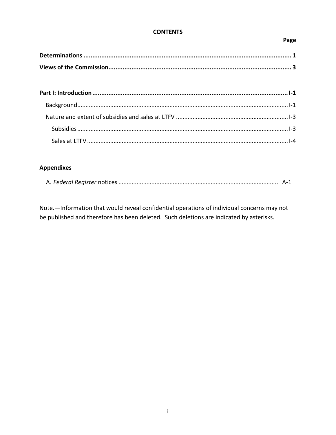#### **CONTENTS**

#### Page

## **Appendixes**

|--|--|--|

Note.-Information that would reveal confidential operations of individual concerns may not be published and therefore has been deleted. Such deletions are indicated by asterisks.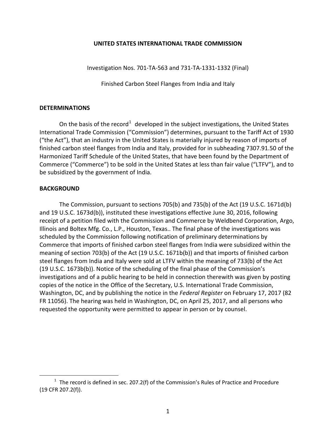#### **UNITED STATES INTERNATIONAL TRADE COMMISSION**

Investigation Nos. 701-TA-563 and 731-TA-1331-1332 (Final)

Finished Carbon Steel Flanges from India and Italy

#### **DETERMINATIONS**

On the basis of the record<sup>[1](#page-6-0)</sup> developed in the subject investigations, the United States International Trade Commission ("Commission") determines, pursuant to the Tariff Act of 1930 ("the Act"), that an industry in the United States is materially injured by reason of imports of finished carbon steel flanges from India and Italy, provided for in subheading 7307.91.50 of the Harmonized Tariff Schedule of the United States, that have been found by the Department of Commerce ("Commerce") to be sold in the United States at less than fair value ("LTFV"), and to be subsidized by the government of India.

#### **BACKGROUND**

 $\overline{a}$ 

The Commission, pursuant to sections 705(b) and 735(b) of the Act (19 U.S.C. 1671d(b) and 19 U.S.C. 1673d(b)), instituted these investigations effective June 30, 2016, following receipt of a petition filed with the Commission and Commerce by Weldbend Corporation, Argo, Illinois and Boltex Mfg. Co., L.P., Houston, Texas.. The final phase of the investigations was scheduled by the Commission following notification of preliminary determinations by Commerce that imports of finished carbon steel flanges from India were subsidized within the meaning of section 703(b) of the Act (19 U.S.C. 1671b(b)) and that imports of finished carbon steel flanges from India and Italy were sold at LTFV within the meaning of 733(b) of the Act (19 U.S.C. 1673b(b)). Notice of the scheduling of the final phase of the Commission's investigations and of a public hearing to be held in connection therewith was given by posting copies of the notice in the Office of the Secretary, U.S. International Trade Commission, Washington, DC, and by publishing the notice in the *Federal Register* on February 17, 2017 (82 FR 11056). The hearing was held in Washington, DC, on April 25, 2017, and all persons who requested the opportunity were permitted to appear in person or by counsel.

<span id="page-6-0"></span> $1$  The record is defined in sec. 207.2(f) of the Commission's Rules of Practice and Procedure (19 CFR 207.2(f)).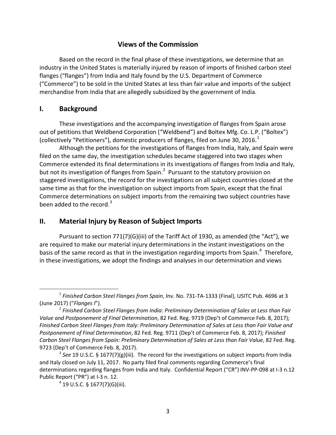## **Views of the Commission**

Based on the record in the final phase of these investigations, we determine that an industry in the United States is materially injured by reason of imports of finished carbon steel flanges ("flanges") from India and Italy found by the U.S. Department of Commerce ("Commerce") to be sold in the United States at less than fair value and imports of the subject merchandise from India that are allegedly subsidized by the government of India.

### **I. Background**

These investigations and the accompanying investigation of flanges from Spain arose out of petitions that Weldbend Corporation ("Weldbend") and Boltex Mfg. Co. L.P. ("Boltex") (collectively "Petitioners"), domestic producers of flanges, filed on June 30, 20[1](#page-8-0)6.<sup>1</sup>

Although the petitions for the investigations of flanges from India, Italy, and Spain were filed on the same day, the investigation schedules became staggered into two stages when Commerce extended its final determinations in its investigations of flanges from India and Italy, but not its investigation of flanges from Spain.<sup>[2](#page-8-1)</sup> Pursuant to the statutory provision on staggered investigations, the record for the investigations on all subject countries closed at the same time as that for the investigation on subject imports from Spain, except that the final Commerce determinations on subject imports from the remaining two subject countries have been added to the record. $3$ 

## **II. Material Injury by Reason of Subject Imports**

Pursuant to section 771(7)(G)(iii) of the Tariff Act of 1930, as amended (the "Act"), we are required to make our material injury determinations in the instant investigations on the basis of the same record as that in the investigation regarding imports from Spain.<sup>[4](#page-8-3)</sup> Therefore, in these investigations, we adopt the findings and analyses in our determination and views

<span id="page-8-0"></span> <sup>1</sup> *Finished Carbon Steel Flanges from Spain*, Inv. No. 731-TA-1333 (Final), USITC Pub. 4696 at 3 (June 2017) ("*Flanges I*"). 2 *Finished Carbon Steel Flanges from India: Preliminary Determination of Sales at Less than Fair* 

<span id="page-8-1"></span>*Value and Postponement of Final Determination*, 82 Fed. Reg. 9719 (Dep't of Commerce Feb. 8, 2017); *Finished Carbon Steel Flanges from Italy: Preliminary Determination of Sales at Less than Fair Value and Postponement of Final Determination*, 82 Fed. Reg. 9711 (Dep't of Commerce Feb. 8, 2017); *Finished Carbon Steel Flanges from Spain: Preliminary Determination of Sales at Less than Fair Value*, 82 Fed. Reg. 9723 (Dep't of Commerce Feb. 8, 2017).

<span id="page-8-3"></span><span id="page-8-2"></span><sup>3</sup> *See* 19 U.S.C. § 1677(7)(g)(iii). The record for the investigations on subject imports from India and Italy closed on July 11, 2017. No party filed final comments regarding Commerce's final determinations regarding flanges from India and Italy. Confidential Report ("CR") INV-PP-098 at I-3 n.12 Public Report ("PR") at I-3 n. 12.

 $4$  19 U.S.C. § 1677(7)(G)(iii).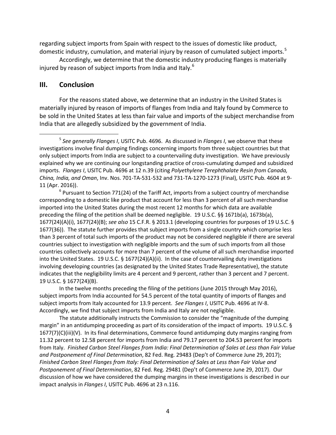regarding subject imports from Spain with respect to the issues of domestic like product, domestic industry, cumulation, and material injury by reason of cumulated subject imports.<sup>[5](#page-9-0)</sup>

Accordingly, we determine that the domestic industry producing flanges is materially injured by reason of subject imports from India and Italy. $^6$  $^6$ 

### **III. Conclusion**

For the reasons stated above, we determine that an industry in the United States is materially injured by reason of imports of flanges from India and Italy found by Commerce to be sold in the United States at less than fair value and imports of the subject merchandise from India that are allegedly subsidized by the government of India.

In the twelve months preceding the filing of the petitions (June 2015 through May 2016), subject imports from India accounted for 54.5 percent of the total quantity of imports of flanges and subject imports from Italy accounted for 13.9 percent. *See Flanges I*, USITC Pub. 4696 at IV-8. Accordingly, we find that subject imports from India and Italy are not negligible.

The statute additionally instructs the Commission to consider the "magnitude of the dumping margin" in an antidumping proceeding as part of its consideration of the impact of imports. 19 U.S.C. § 1677(7)(C)(iii)(V). In its final determinations, Commerce found antidumping duty margins ranging from 11.32 percent to 12.58 percent for imports from India and 79.17 percent to 204.53 percent for imports from Italy. *Finished Carbon Steel Flanges from India: Final Determination of Sales at Less than Fair Value and Postponement of Final Determination*, 82 Fed. Reg. 29483 (Dep't of Commerce June 29, 2017); *Finished Carbon Steel Flanges from Italy: Final Determination of Sales at Less than Fair Value and Postponement of Final Determination*, 82 Fed. Reg. 29481 (Dep't of Commerce June 29, 2017). Our discussion of how we have considered the dumping margins in these investigations is described in our impact analysis in *Flanges I*, USITC Pub. 4696 at 23 n.116.

<span id="page-9-0"></span> <sup>5</sup> *See generally Flanges I*, USITC Pub. 4696. As discussed in *Flanges I*, we observe that these investigations involve final dumping findings concerning imports from three subject countries but that only subject imports from India are subject to a countervailing duty investigation. We have previously explained why we are continuing our longstanding practice of cross-cumulating dumped and subsidized imports. *Flanges I*, USITC Pub. 4696 at 12 n.39 (citing *Polyethylene Terephthalate Resin from Canada, China, India, and Oman*, Inv. Nos. 701-TA-531-532 and 731-TA-1270-1273 (Final), USITC Pub. 4604 at 9- 11 (Apr. 2016)). 6 Pursuant to Section 771(24) of the Tariff Act, imports from a subject country of merchandise

<span id="page-9-1"></span>corresponding to a domestic like product that account for less than 3 percent of all such merchandise imported into the United States during the most recent 12 months for which data are available preceding the filing of the petition shall be deemed negligible. 19 U.S.C. §§ 1671b(a), 1673b(a), 1677(24)(A)(i), 1677(24)(B); *see also* 15 C.F.R. § 2013.1 (developing countries for purposes of 19 U.S.C. § 1677(36)). The statute further provides that subject imports from a single country which comprise less than 3 percent of total such imports of the product may not be considered negligible if there are several countries subject to investigation with negligible imports and the sum of such imports from all those countries collectively accounts for more than 7 percent of the volume of all such merchandise imported into the United States. 19 U.S.C. § 1677(24)(A)(ii). In the case of countervailing duty investigations involving developing countries (as designated by the United States Trade Representative), the statute indicates that the negligibility limits are 4 percent and 9 percent, rather than 3 percent and 7 percent. 19 U.S.C. § 1677(24)(B).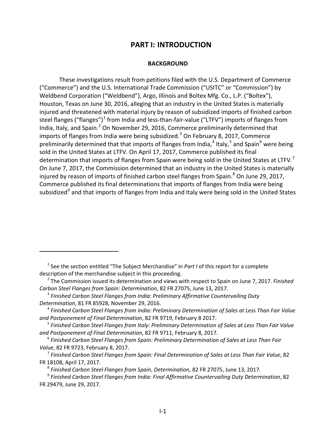### **PART I: INTRODUCTION**

#### **BACKGROUND**

These investigations result from petitions filed with the U.S. Department of Commerce ("Commerce") and the U.S. International Trade Commission ("USITC" or "Commission") by Weldbend Corporation ("Weldbend"), Argo, Illinois and Boltex Mfg. Co., L.P. ("Boltex"), Houston, Texas on June 30, 2016, alleging that an industry in the United States is materially injured and threatened with material injury by reason of subsidized imports of finished carbon steel flanges ("flanges")<sup>[1](#page-10-0)</sup> from India and less-than-fair-value ("LTFV") imports of flanges from India, Italy, and Spain.<sup>[2](#page-10-1)</sup> On November 29, 2016, Commerce preliminarily determined that imports of flanges from India were being subsidized.<sup>[3](#page-10-2)</sup> On February 8, 2017, Commerce preliminarily determined that that imports of flanges from India,<sup>[4](#page-10-3)</sup> Italy,<sup>[5](#page-10-4)</sup> and Spain<sup>[6](#page-10-5)</sup> were being sold in the United States at LTFV. On April 17, 2017, Commerce published its final determination that imports of flanges from Spain were being sold in the United States at LTFV.<sup>[7](#page-10-6)</sup> On June 7, 2017, the Commission determined that an industry in the United States is materially injured by reason of imports of finished carbon steel flanges from Spain. $8$  On June 29, 2017, Commerce published its final determinations that imports of flanges from India were being subsidized<sup>[9](#page-10-8)</sup> and that imports of flanges from India and Italy were being sold in the United States

 $\overline{a}$ 

<span id="page-10-0"></span><sup>&</sup>lt;sup>1</sup> See the section entitled "The Subject Merchandise" in *Part I* of this report for a complete description of the merchandise subject in this proceeding.

<span id="page-10-1"></span><sup>2</sup> The Commission issued its determination and views with respect to Spain on June 7, 2017. *Finished Carbon Steel Flanges from Spain: Determination*, 82 FR 27075, June 13, 2017.

<span id="page-10-2"></span><sup>3</sup> *Finished Carbon Steel Flanges from India: Preliminary Affirmative Countervailing Duty Determination*, 81 FR 85928, November 29, 2016.

<span id="page-10-3"></span><sup>4</sup> *Finished Carbon Steel Flanges from India: Preliminary Determination of Sales at Less Than Fair Value and Postponement of Final Determination*, 82 FR 9719, February 8 2017.

<span id="page-10-4"></span><sup>5</sup> *Finished Carbon Steel Flanges from Italy: Preliminary Determination of Sales at Less Than Fair Value and Postponement of Final Determination*, 82 FR 9711, February 8, 2017.

<span id="page-10-5"></span><sup>6</sup> *Finished Carbon Steel Flanges from Spain: Preliminary Determination of Sales at Less Than Fair Value*, 82 FR 9723, February 8, 2017.

<span id="page-10-6"></span><sup>7</sup> *Finished Carbon Steel Flanges from Spain: Final Determination of Sales at Less Than Fair Value*, 82 FR 18108, April 17, 2017.

<sup>8</sup> *Finished Carbon Steel Flanges from Spain*, *Determination*, 82 FR 27075, June 13, 2017.

<span id="page-10-8"></span><span id="page-10-7"></span><sup>9</sup> *Finished Carbon Steel Flanges from India: Final Affirmative Countervailing Duty Determination*, 82 FR 29479, June 29, 2017.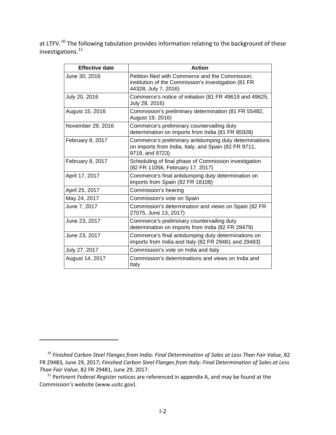at LTFV.<sup>[10](#page-11-0)</sup> The following tabulation provides information relating to the background of these investigations. [11](#page-11-1)

| <b>Effective date</b> | <b>Action</b>                                                                                                                     |
|-----------------------|-----------------------------------------------------------------------------------------------------------------------------------|
| June 30, 2016         | Petition filed with Commerce and the Commission;<br>institution of the Commission's investigation (81 FR<br>44328, July 7, 2016)  |
| July 20, 2016         | Commerce's notice of initiation (81 FR 49619 and 49625,<br>July 28, 2016)                                                         |
| August 15, 2016       | Commission's preliminary determination (81 FR 55482,<br>August 19, 2016)                                                          |
| November 29, 2016     | Commerce's preliminary countervailing duty<br>determination on imports from India (81 FR 85928)                                   |
| February 8, 2017      | Commerce's preliminary antidumping duty determinations<br>on imports from India, Italy, and Spain (82 FR 9711,<br>9719, and 9723) |
| February 8, 2017      | Scheduling of final phase of Commission investigation<br>(82 FR 11056, February 17, 2017)                                         |
| April 17, 2017        | Commerce's final antidumping duty determination on<br>imports from Spain (82 FR 18108)                                            |
| April 25, 2017        | Commission's hearing                                                                                                              |
| May 24, 2017          | Commission's vote on Spain                                                                                                        |
| June 7, 2017          | Commission's determination and views on Spain (82 FR<br>27075, June 13, 2017)                                                     |
| June 23, 2017         | Commerce's preliminary countervailing duty<br>determination on imports from India (82 FR 29479)                                   |
| June 23, 2017         | Commerce's final antidumping duty determinations on<br>imports from India and Italy (82 FR 29481 and 29483)                       |
| July 27, 2017         | Commission's vote on India and Italy                                                                                              |
| August 14, 2017       | Commission's determinations and views on India and<br>Italy                                                                       |

 $\overline{a}$ 

<span id="page-11-0"></span><sup>10</sup> *Finished Carbon Steel Flanges from India: Final Determination of Sales at Less Than Fair Value*, 82 FR 29483, June 29, 2017; *Finished Carbon Steel Flanges from Italy: Final Determination of Sales at Less Than Fair Value*, 82 FR 29481, June 29, 2017.

<span id="page-11-1"></span><sup>11</sup> Pertinent *Federal Register* notices are referenced in appendix A, and may be found at the Commission's website (www.usitc.gov).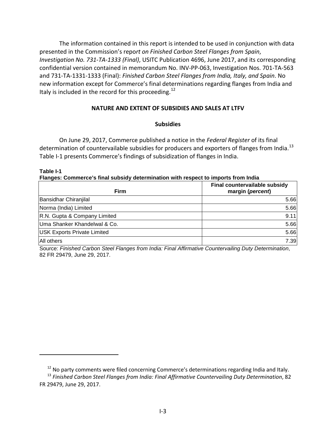The information contained in this report is intended to be used in conjunction with data presented in the Commission's repo*rt on Finished Carbon Steel Flanges from Spain*, *Investigation No. 731-TA-1333 (Final)*, USITC Publication 4696, June 2017, and its corresponding confidential version contained in memorandum No. INV-PP-063, Investigation Nos. 701-TA-563 and 731-TA-1331-1333 (Final): *Finished Carbon Steel Flanges from India, Italy, and Spain*. No new information except for Commerce's final determinations regarding flanges from India and Italy is included in the record for this proceeding.<sup>[12](#page-12-0)</sup>

#### **NATURE AND EXTENT OF SUBSIDIES AND SALES AT LTFV**

#### **Subsidies**

On June 29, 2017, Commerce published a notice in the *Federal Register* of its final determination of countervailable subsidies for producers and exporters of flanges from India.<sup>[13](#page-12-1)</sup> Table I-1 presents Commerce's findings of subsidization of flanges in India.

**Table I-1**

 $\overline{a}$ 

**Flanges: Commerce's final subsidy determination with respect to imports from India**

| <b>Firm</b>                        | Final countervailable subsidy<br>margin (percent) |
|------------------------------------|---------------------------------------------------|
| Bansidhar Chiranjilal              | 5.66                                              |
| Norma (India) Limited              | 5.66                                              |
| R.N. Gupta & Company Limited       | 9.11                                              |
| Uma Shanker Khandelwal & Co.       | 5.66                                              |
| <b>USK Exports Private Limited</b> | 5.66                                              |
| All others                         | 7.39                                              |

Source: *Finished Carbon Steel Flanges from India: Final Affirmative Countervailing Duty Determination*, 82 FR 29479, June 29, 2017.

 $12$  No party comments were filed concerning Commerce's determinations regarding India and Italy.

<span id="page-12-1"></span><span id="page-12-0"></span><sup>13</sup> *Finished Carbon Steel Flanges from India: Final Affirmative Countervailing Duty Determination*, 82 FR 29479, June 29, 2017.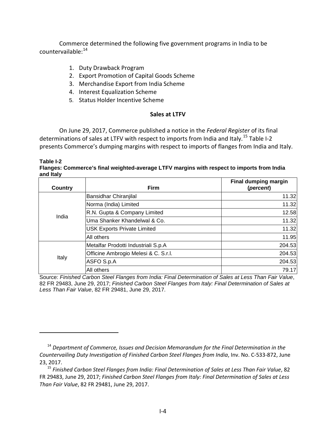Commerce determined the following five government programs in India to be countervailable: [14](#page-13-0)

1. Duty Drawback Program

 $\overline{a}$ 

- 2. Export Promotion of Capital Goods Scheme
- 3. Merchandise Export from India Scheme
- 4. Interest Equalization Scheme
- 5. Status Holder Incentive Scheme

#### **Sales at LTFV**

On June 29, 2017, Commerce published a notice in the *Federal Register* of its final determinations of sales at LTFV with respect to imports from India and Italy.<sup>[15](#page-13-1)</sup> Table I-2 presents Commerce's dumping margins with respect to imports of flanges from India and Italy.

**Table I-2 Flanges: Commerce's final weighted-average LTFV margins with respect to imports from India and Italy**

| Country | <b>Firm</b>                          | <b>Final dumping margin</b><br>(percent) |
|---------|--------------------------------------|------------------------------------------|
| India   | Bansidhar Chiranjilal                | 11.32                                    |
|         | Norma (India) Limited                | 11.32                                    |
|         | R.N. Gupta & Company Limited         | 12.58                                    |
|         | Uma Shanker Khandelwal & Co.         | 11.32                                    |
|         | <b>USK Exports Private Limited</b>   | 11.32                                    |
|         | All others                           | 11.95                                    |
| Italy   | Metalfar Prodotti Industriali S.p.A  | 204.53                                   |
|         | Officine Ambrogio Melesi & C. S.r.l. | 204.53                                   |
|         | ASFO S.p.A                           | 204.53                                   |
|         | All others                           | 79.17                                    |

Source: *Finished Carbon Steel Flanges from India: Final Determination of Sales at Less Than Fair Value*, 82 FR 29483, June 29, 2017; *Finished Carbon Steel Flanges from Italy: Final Determination of Sales at Less Than Fair Value*, 82 FR 29481, June 29, 2017.

<span id="page-13-0"></span><sup>14</sup> *Department of Commerce, Issues and Decision Memorandum for the Final Determination in the Countervailing Duty Investigation of Finished Carbon Steel Flanges from India*, Inv. No. C-533-872, June 23, 2017.

<span id="page-13-1"></span><sup>15</sup> *Finished Carbon Steel Flanges from India: Final Determination of Sales at Less Than Fair Value*, 82 FR 29483, June 29, 2017; *Finished Carbon Steel Flanges from Italy: Final Determination of Sales at Less Than Fair Value*, 82 FR 29481, June 29, 2017.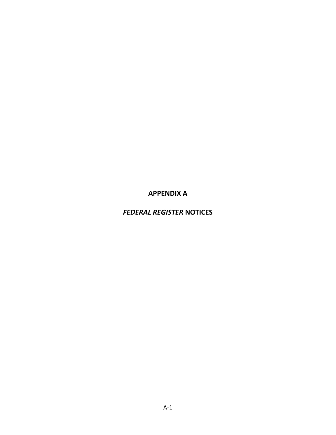**APPENDIX A**

*FEDERAL REGISTER* **NOTICES**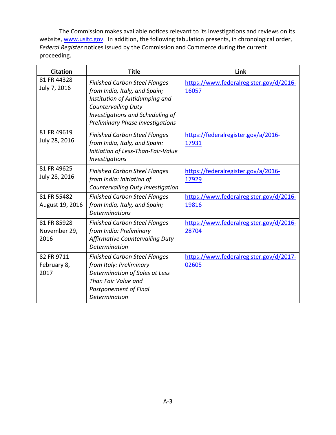The Commission makes available notices relevant to its investigations and reviews on its website, [www.usitc.gov.](http://www.usitc.gov/) In addition, the following tabulation presents, in chronological order, *Federal Register* notices issued by the Commission and Commerce during the current proceeding.

| <b>Citation</b>                     | <b>Title</b>                                                                                                                                                                                                         | Link                                             |
|-------------------------------------|----------------------------------------------------------------------------------------------------------------------------------------------------------------------------------------------------------------------|--------------------------------------------------|
| 81 FR 44328<br>July 7, 2016         | <b>Finished Carbon Steel Flanges</b><br>from India, Italy, and Spain;<br>Institution of Antidumping and<br><b>Countervailing Duty</b><br>Investigations and Scheduling of<br><b>Preliminary Phase Investigations</b> | https://www.federalregister.gov/d/2016-<br>16057 |
| 81 FR 49619<br>July 28, 2016        | <b>Finished Carbon Steel Flanges</b><br>from India, Italy, and Spain:<br>Initiation of Less-Than-Fair-Value<br><i><b>Investigations</b></i>                                                                          | https://federalregister.gov/a/2016-<br>17931     |
| 81 FR 49625<br>July 28, 2016        | <b>Finished Carbon Steel Flanges</b><br>from India: Initiation of<br>Countervailing Duty Investigation                                                                                                               | https://federalregister.gov/a/2016-<br>17929     |
| 81 FR 55482<br>August 19, 2016      | <b>Finished Carbon Steel Flanges</b><br>from India, Italy, and Spain;<br><b>Determinations</b>                                                                                                                       | https://www.federalregister.gov/d/2016-<br>19816 |
| 81 FR 85928<br>November 29,<br>2016 | <b>Finished Carbon Steel Flanges</b><br>from India: Preliminary<br>Affirmative Countervailing Duty<br>Determination                                                                                                  | https://www.federalregister.gov/d/2016-<br>28704 |
| 82 FR 9711<br>February 8,<br>2017   | <b>Finished Carbon Steel Flanges</b><br>from Italy: Preliminary<br>Determination of Sales at Less<br>Than Fair Value and<br>Postponement of Final<br>Determination                                                   | https://www.federalregister.gov/d/2017-<br>02605 |